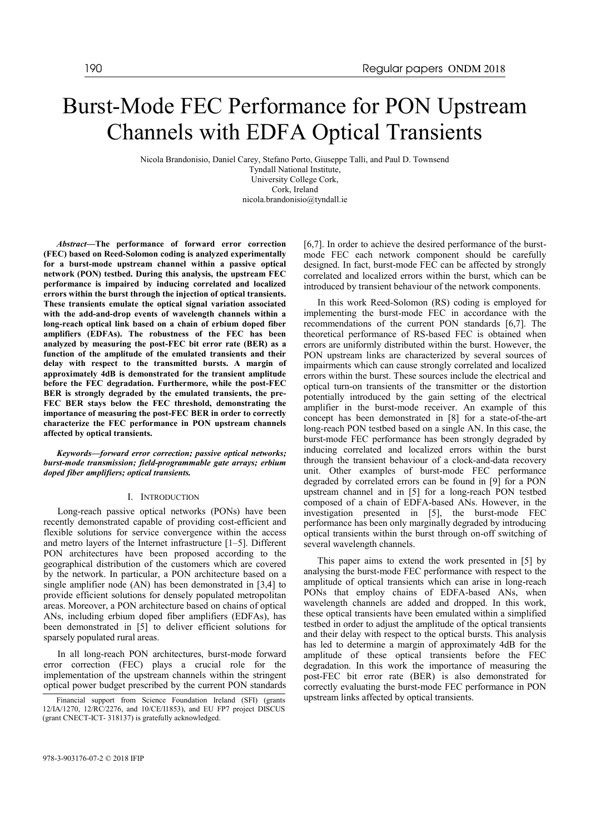# Burst-Mode FEC Performance for PON Upstream Channels with EDFA Optical Transients

Nicola Brandonisio, Daniel Carey, Stefano Porto, Giuseppe Talli, and Paul D. Townsend Tyndall National Institute, University College Cork, Cork, Ireland nicola.brandonisio@tyndall.ie

*Abstract***—The performance of forward error correction (FEC) based on Reed-Solomon coding is analyzed experimentally for a burst-mode upstream channel within a passive optical network (PON) testbed. During this analysis, the upstream FEC performance is impaired by inducing correlated and localized errors within the burst through the injection of optical transients. These transients emulate the optical signal variation associated with the add-and-drop events of wavelength channels within a long-reach optical link based on a chain of erbium doped fiber amplifiers (EDFAs). The robustness of the FEC has been analyzed by measuring the post-FEC bit error rate (BER) as a function of the amplitude of the emulated transients and their delay with respect to the transmitted bursts. A margin of approximately 4dB is demonstrated for the transient amplitude before the FEC degradation. Furthermore, while the post-FEC BER is strongly degraded by the emulated transients, the pre-FEC BER stays below the FEC threshold, demonstrating the importance of measuring the post-FEC BER in order to correctly characterize the FEC performance in PON upstream channels affected by optical transients.**

*Keywords—forward error correction; passive optical networks; burst-mode transmission; field-programmable gate arrays; erbium doped fiber amplifiers; optical transients.*

### I. INTRODUCTION

Long-reach passive optical networks (PONs) have been recently demonstrated capable of providing cost-efficient and flexible solutions for service convergence within the access and metro layers of the Internet infrastructure  $[1-5]$ . Different PON architectures have been proposed according to the geographical distribution of the customers which are covered by the network. In particular, a PON architecture based on a single amplifier node (AN) has been demonstrated in [3,4] to provide efficient solutions for densely populated metropolitan areas. Moreover, a PON architecture based on chains of optical ANs, including erbium doped fiber amplifiers (EDFAs), has been demonstrated in [5] to deliver efficient solutions for sparsely populated rural areas.

In all long-reach PON architectures, burst-mode forward error correction (FEC) plays a crucial role for the implementation of the upstream channels within the stringent optical power budget prescribed by the current PON standards

978-3-903176-07-2 © 2018 IFIP

[6,7]. In order to achieve the desired performance of the burstmode FEC each network component should be carefully designed. In fact, burst-mode FEC can be affected by strongly correlated and localized errors within the burst, which can be introduced by transient behaviour of the network components.

In this work Reed-Solomon (RS) coding is employed for implementing the burst-mode FEC in accordance with the recommendations of the current PON standards [6,7]. The theoretical performance of RS-based FEC is obtained when errors are uniformly distributed within the burst. However, the PON upstream links are characterized by several sources of impairments which can cause strongly correlated and localized errors within the burst. These sources include the electrical and optical turn-on transients of the transmitter or the distortion potentially introduced by the gain setting of the electrical amplifier in the burst-mode receiver. An example of this concept has been demonstrated in [8] for a state-of-the-art long-reach PON testbed based on a single AN. In this case, the burst-mode FEC performance has been strongly degraded by inducing correlated and localized errors within the burst through the transient behaviour of a clock-and-data recovery unit. Other examples of burst-mode FEC performance degraded by correlated errors can be found in [9] for a PON upstream channel and in [5] for a long-reach PON testbed composed of a chain of EDFA-based ANs. However, in the investigation presented in [5], the burst-mode FEC performance has been only marginally degraded by introducing optical transients within the burst through on-off switching of several wavelength channels.

This paper aims to extend the work presented in [5] by analysing the burst-mode FEC performance with respect to the amplitude of optical transients which can arise in long-reach PONs that employ chains of EDFA-based ANs, when wavelength channels are added and dropped. In this work, these optical transients have been emulated within a simplified testbed in order to adjust the amplitude of the optical transients and their delay with respect to the optical bursts. This analysis has led to determine a margin of approximately 4dB for the amplitude of these optical transients before the FEC degradation. In this work the importance of measuring the post-FEC bit error rate (BER) is also demonstrated for correctly evaluating the burst-mode FEC performance in PON

Financial support from Science Foundation Ireland (SFI) (grants upstream links affected by optical transients. 12/IA/1270, 12/RC/2276, and 10/CE/I1853), and EU FP7 project DISCUS (grant CNECT-ICT- 318137) is gratefully acknowledged.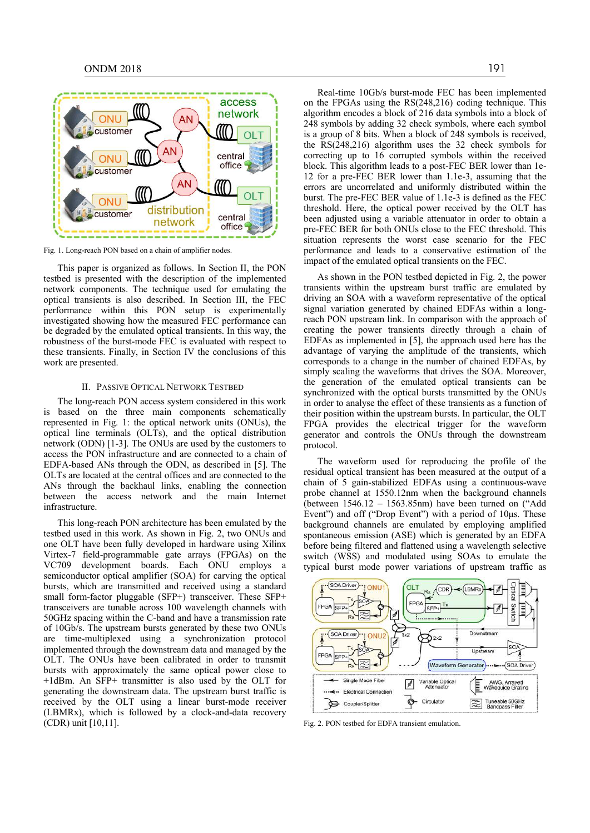

Fig. 1. Long-reach PON based on a chain of amplifier nodes.

This paper is organized as follows. In Section II, the PON testbed is presented with the description of the implemented network components. The technique used for emulating the optical transients is also described. In Section III, the FEC performance within this PON setup is experimentally investigated showing how the measured FEC performance can be degraded by the emulated optical transients. In this way, the robustness of the burst-mode FEC is evaluated with respect to these transients. Finally, in Section IV the conclusions of this work are presented.

# II. PASSIVE OPTICAL NETWORK TESTBED

The long-reach PON access system considered in this work is based on the three main components schematically represented in Fig. 1: the optical network units (ONUs), the optical line terminals (OLTs), and the optical distribution network (ODN) [1-3]. The ONUs are used by the customers to access the PON infrastructure and are connected to a chain of EDFA-based ANs through the ODN, as described in [5]. The OLTs are located at the central offices and are connected to the ANs through the backhaul links, enabling the connection between the access network and the main Internet infrastructure.

This long-reach PON architecture has been emulated by the testbed used in this work. As shown in Fig. 2, two ONUs and one OLT have been fully developed in hardware using Xilinx Virtex-7 field-programmable gate arrays (FPGAs) on the VC709 development boards. Each ONU employs a semiconductor optical amplifier (SOA) for carving the optical bursts, which are transmitted and received using a standard small form-factor pluggable (SFP+) transceiver. These SFP+ transceivers are tunable across 100 wavelength channels with 50GHz spacing within the C-band and have a transmission rate of 10Gb/s. The upstream bursts generated by these two ONUs are time-multiplexed using a synchronization protocol implemented through the downstream data and managed by the OLT. The ONUs have been calibrated in order to transmit bursts with approximately the same optical power close to +1dBm. An SFP+ transmitter is also used by the OLT for generating the downstream data. The upstream burst traffic is received by the OLT using a linear burst-mode receiver (LBMRx), which is followed by a clock-and-data recovery (CDR) unit [10,11].

Real-time 10Gb/s burst-mode FEC has been implemented on the FPGAs using the RS(248,216) coding technique. This algorithm encodes a block of 216 data symbols into a block of 248 symbols by adding 32 check symbols, where each symbol is a group of 8 bits. When a block of 248 symbols is received, the RS(248,216) algorithm uses the 32 check symbols for correcting up to 16 corrupted symbols within the received block. This algorithm leads to a post-FEC BER lower than 1e-12 for a pre-FEC BER lower than 1.1e-3, assuming that the errors are uncorrelated and uniformly distributed within the burst. The pre-FEC BER value of 1.1e-3 is defined as the FEC threshold. Here, the optical power received by the OLT has been adjusted using a variable attenuator in order to obtain a pre-FEC BER for both ONUs close to the FEC threshold. This situation represents the worst case scenario for the FEC performance and leads to a conservative estimation of the impact of the emulated optical transients on the FEC.

As shown in the PON testbed depicted in Fig. 2, the power transients within the upstream burst traffic are emulated by driving an SOA with a waveform representative of the optical signal variation generated by chained EDFAs within a longreach PON upstream link. In comparison with the approach of creating the power transients directly through a chain of EDFAs as implemented in [5], the approach used here has the advantage of varying the amplitude of the transients, which corresponds to a change in the number of chained EDFAs, by simply scaling the waveforms that drives the SOA. Moreover, the generation of the emulated optical transients can be synchronized with the optical bursts transmitted by the ONUs in order to analyse the effect of these transients as a function of their position within the upstream bursts. In particular, the OLT FPGA provides the electrical trigger for the waveform generator and controls the ONUs through the downstream protocol.

The waveform used for reproducing the profile of the residual optical transient has been measured at the output of a chain of 5 gain-stabilized EDFAs using a continuous-wave probe channel at 1550.12nm when the background channels (between  $1546.12 - 1563.85$ nm) have been turned on ("Add Event") and off ("Drop Event") with a period of 10μs. These background channels are emulated by employing amplified spontaneous emission (ASE) which is generated by an EDFA before being filtered and flattened using a wavelength selective switch (WSS) and modulated using SOAs to emulate the typical burst mode power variations of upstream traffic as



Fig. 2. PON testbed for EDFA transient emulation.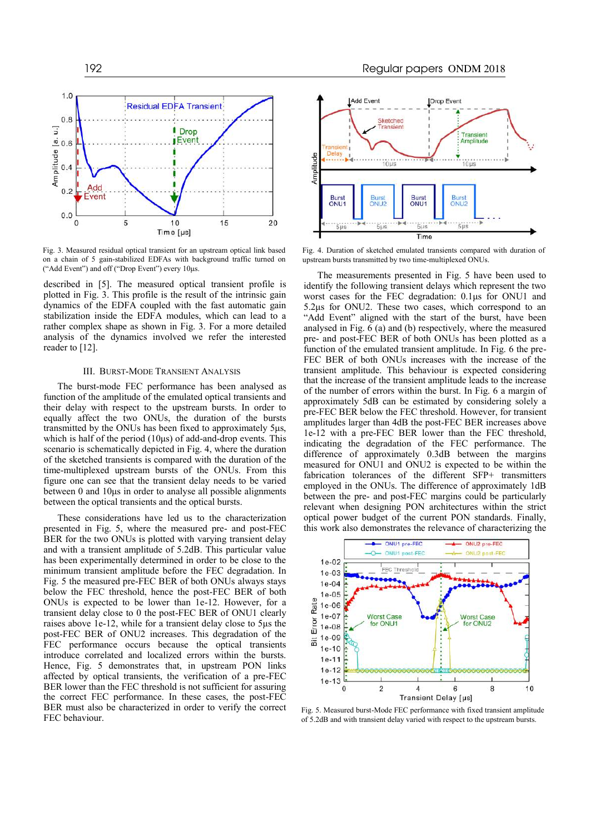

Fig. 3. Measured residual optical transient for an upstream optical link based on a chain of 5 gain-stabilized EDFAs with background traffic turned on ("Add Event") and off ("Drop Event") every 10μs.

described in [5]. The measured optical transient profile is plotted in Fig. 3. This profile is the result of the intrinsic gain dynamics of the EDFA coupled with the fast automatic gain stabilization inside the EDFA modules, which can lead to a rather complex shape as shown in Fig. 3. For a more detailed analysis of the dynamics involved we refer the interested reader to [12].

## III. BURST-MODE TRANSIENT ANALYSIS

The burst-mode FEC performance has been analysed as function of the amplitude of the emulated optical transients and their delay with respect to the upstream bursts. In order to equally affect the two ONUs, the duration of the bursts transmitted by the ONUs has been fixed to approximately 5μs, which is half of the period  $(10\mu s)$  of add-and-drop events. This scenario is schematically depicted in Fig. 4, where the duration of the sketched transients is compared with the duration of the time-multiplexed upstream bursts of the ONUs. From this figure one can see that the transient delay needs to be varied between 0 and 10μs in order to analyse all possible alignments between the optical transients and the optical bursts.

These considerations have led us to the characterization presented in Fig. 5, where the measured pre- and post-FEC BER for the two ONUs is plotted with varying transient delay and with a transient amplitude of 5.2dB. This particular value has been experimentally determined in order to be close to the minimum transient amplitude before the FEC degradation. In Fig. 5 the measured pre-FEC BER of both ONUs always stays below the FEC threshold, hence the post-FEC BER of both ONUs is expected to be lower than 1e-12. However, for a transient delay close to 0 the post-FEC BER of ONU1 clearly raises above 1e-12, while for a transient delay close to 5μs the post-FEC BER of ONU2 increases. This degradation of the FEC performance occurs because the optical transients introduce correlated and localized errors within the bursts. Hence, Fig. 5 demonstrates that, in upstream PON links affected by optical transients, the verification of a pre-FEC BER lower than the FEC threshold is not sufficient for assuring the correct FEC performance. In these cases, the post-FEC BER must also be characterized in order to verify the correct FEC behaviour.



Fig. 4. Duration of sketched emulated transients compared with duration of upstream bursts transmitted by two time-multiplexed ONUs.

The measurements presented in Fig. 5 have been used to identify the following transient delays which represent the two worst cases for the FEC degradation: 0.1μs for ONU1 and 5.2μs for ONU2. These two cases, which correspond to an "Add Event" aligned with the start of the burst, have been analysed in Fig. 6 (a) and (b) respectively, where the measured pre- and post-FEC BER of both ONUs has been plotted as a function of the emulated transient amplitude. In Fig. 6 the pre-FEC BER of both ONUs increases with the increase of the transient amplitude. This behaviour is expected considering that the increase of the transient amplitude leads to the increase of the number of errors within the burst. In Fig. 6 a margin of approximately 5dB can be estimated by considering solely a pre-FEC BER below the FEC threshold. However, for transient amplitudes larger than 4dB the post-FEC BER increases above 1e-12 with a pre-FEC BER lower than the FEC threshold, indicating the degradation of the FEC performance. The difference of approximately 0.3dB between the margins measured for ONU1 and ONU2 is expected to be within the fabrication tolerances of the different SFP+ transmitters employed in the ONUs. The difference of approximately 1dB between the pre- and post-FEC margins could be particularly relevant when designing PON architectures within the strict optical power budget of the current PON standards. Finally, this work also demonstrates the relevance of characterizing the



Fig. 5. Measured burst-Mode FEC performance with fixed transient amplitude of 5.2dB and with transient delay varied with respect to the upstream bursts.